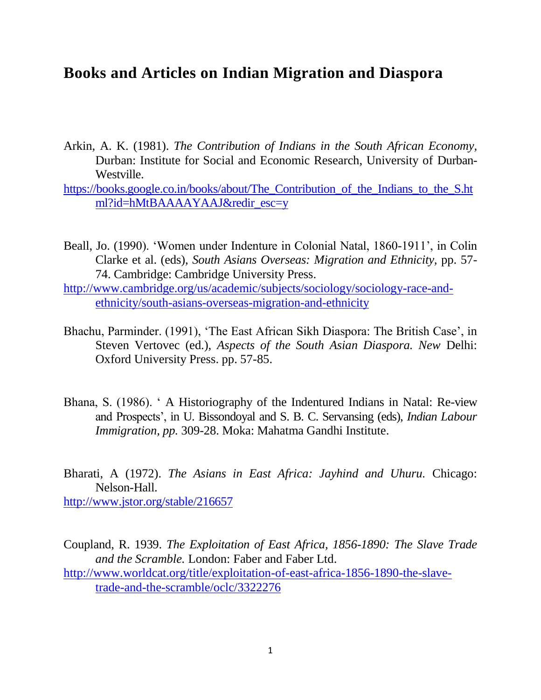## **Books and Articles on Indian Migration and Diaspora**

Arkin, A. K. (1981). *The Contribution of Indians in the South African Economy,*  Durban: Institute for Social and Economic Research, University of Durban-Westville.

[https://books.google.co.in/books/about/The\\_Contribution\\_of\\_the\\_Indians\\_to\\_the\\_S.ht](https://books.google.co.in/books/about/The_Contribution_of_the_Indians_to_the_S.html?id=hMtBAAAAYAAJ&redir_esc=y) [ml?id=hMtBAAAAYAAJ&redir\\_esc=y](https://books.google.co.in/books/about/The_Contribution_of_the_Indians_to_the_S.html?id=hMtBAAAAYAAJ&redir_esc=y)

- Beall, Jo. (1990). ‗Women under Indenture in Colonial Natal, 1860-1911', in Colin Clarke et al. (eds), *South Asians Overseas: Migration and Ethnicity,* pp. 57- 74. Cambridge: Cambridge University Press.
- [http://www.cambridge.org/us/academic/subjects/sociology/sociology-race-and](http://www.cambridge.org/us/academic/subjects/sociology/sociology-race-and-ethnicity/south-asians-overseas-migration-and-ethnicity)[ethnicity/south-asians-overseas-migration-and-ethnicity](http://www.cambridge.org/us/academic/subjects/sociology/sociology-race-and-ethnicity/south-asians-overseas-migration-and-ethnicity)
- Bhachu, Parminder. (1991), 'The East African Sikh Diaspora: The British Case', in Steven Vertovec (ed.), *Aspects of the South Asian Diaspora. New* Delhi: Oxford University Press. pp. 57-85.
- Bhana, S. (1986). ‗ A Historiography of the Indentured Indians in Natal: Re-view and Prospects', in U. Bissondoyal and S. B. C. Servansing (eds), *Indian Labour Immigration, pp.* 309-28. Moka: Mahatma Gandhi Institute.

Bharati, A (1972). *The Asians in East Africa: Jayhind and Uhuru.* Chicago: Nelson-Hall.

<http://www.jstor.org/stable/216657>

Coupland, R. 1939. *The Exploitation of East Africa, 1856-1890: The Slave Trade and the Scramble.* London: Faber and Faber Ltd.

[http://www.worldcat.org/title/exploitation-of-east-africa-1856-1890-the-slave](http://www.worldcat.org/title/exploitation-of-east-africa-1856-1890-the-slave-trade-and-the-scramble/oclc/3322276)[trade-and-the-scramble/oclc/3322276](http://www.worldcat.org/title/exploitation-of-east-africa-1856-1890-the-slave-trade-and-the-scramble/oclc/3322276)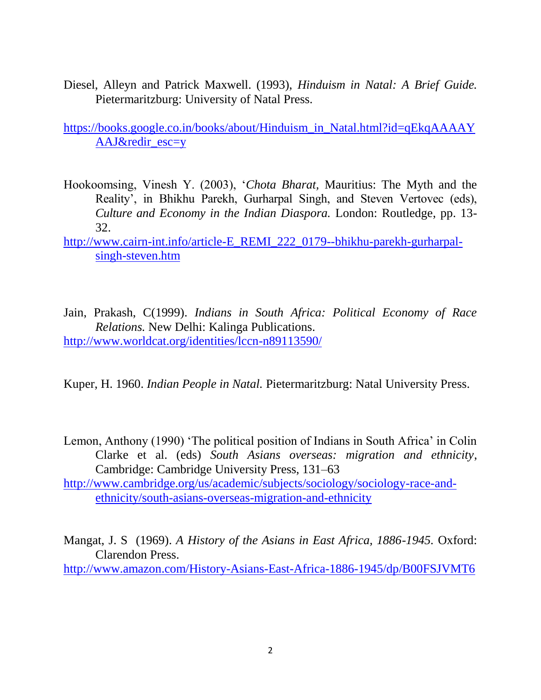Diesel, Alleyn and Patrick Maxwell. (1993), *Hinduism in Natal: A Brief Guide.*  Pietermaritzburg: University of Natal Press.

[https://books.google.co.in/books/about/Hinduism\\_in\\_Natal.html?id=qEkqAAAAY](https://books.google.co.in/books/about/Hinduism_in_Natal.html?id=qEkqAAAAYAAJ&redir_esc=y) [AAJ&redir\\_esc=y](https://books.google.co.in/books/about/Hinduism_in_Natal.html?id=qEkqAAAAYAAJ&redir_esc=y)

- Hookoomsing, Vinesh Y. (2003), ‗*Chota Bharat,* Mauritius: The Myth and the Reality', in Bhikhu Parekh, Gurharpal Singh, and Steven Vertovec (eds), *Culture and Economy in the Indian Diaspora.* London: Routledge, pp. 13- 32.
- [http://www.cairn-int.info/article-E\\_REMI\\_222\\_0179--bhikhu-parekh-gurharpal](http://www.cairn-int.info/article-E_REMI_222_0179--bhikhu-parekh-gurharpal-singh-steven.htm)[singh-steven.htm](http://www.cairn-int.info/article-E_REMI_222_0179--bhikhu-parekh-gurharpal-singh-steven.htm)
- Jain, Prakash, C(1999). *Indians in South Africa: Political Economy of Race Relations.* New Delhi: Kalinga Publications. <http://www.worldcat.org/identities/lccn-n89113590/>
- Kuper, H. 1960. *Indian People in Natal.* Pietermaritzburg: Natal University Press.
- Lemon, Anthony (1990) 'The political position of Indians in South Africa' in Colin Clarke et al. (eds) *South Asians overseas: migration and ethnicity*, Cambridge: Cambridge University Press, 131–63
- [http://www.cambridge.org/us/academic/subjects/sociology/sociology-race-and](http://www.cambridge.org/us/academic/subjects/sociology/sociology-race-and-ethnicity/south-asians-overseas-migration-and-ethnicity)[ethnicity/south-asians-overseas-migration-and-ethnicity](http://www.cambridge.org/us/academic/subjects/sociology/sociology-race-and-ethnicity/south-asians-overseas-migration-and-ethnicity)

Mangat, J. S (1969). *A History of the Asians in East Africa, 1886-1945.* Oxford: Clarendon Press.

<http://www.amazon.com/History-Asians-East-Africa-1886-1945/dp/B00FSJVMT6>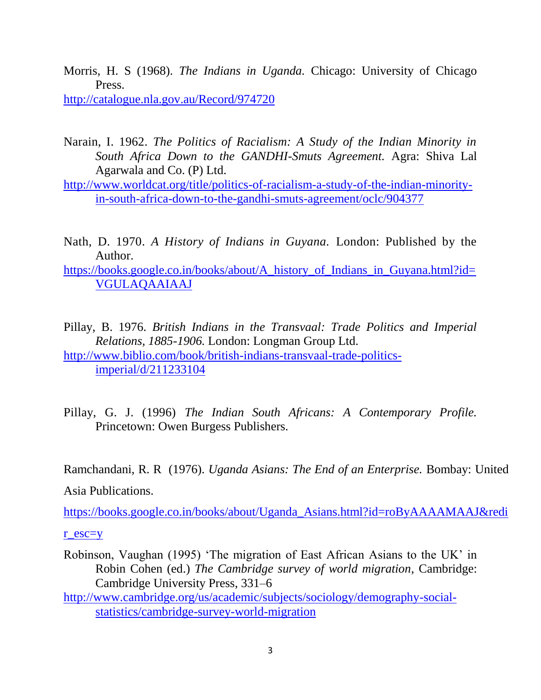- Morris, H. S (1968). *The Indians in Uganda.* Chicago: University of Chicago Press. <http://catalogue.nla.gov.au/Record/974720>
- Narain, I. 1962. *The Politics of Racialism: A Study of the Indian Minority in South Africa Down to the GANDHI-Smuts Agreement.* Agra: Shiva Lal Agarwala and Co. (P) Ltd.
- [http://www.worldcat.org/title/politics-of-racialism-a-study-of-the-indian-minority](http://www.worldcat.org/title/politics-of-racialism-a-study-of-the-indian-minority-in-south-africa-down-to-the-gandhi-smuts-agreement/oclc/904377)[in-south-africa-down-to-the-gandhi-smuts-agreement/oclc/904377](http://www.worldcat.org/title/politics-of-racialism-a-study-of-the-indian-minority-in-south-africa-down-to-the-gandhi-smuts-agreement/oclc/904377)
- Nath, D. 1970. *A History of Indians in Guyana.* London: Published by the Author.

[https://books.google.co.in/books/about/A\\_history\\_of\\_Indians\\_in\\_Guyana.html?id=](https://books.google.co.in/books/about/A_history_of_Indians_in_Guyana.html?id=VGULAQAAIAAJ) [VGULAQAAIAAJ](https://books.google.co.in/books/about/A_history_of_Indians_in_Guyana.html?id=VGULAQAAIAAJ)

- Pillay, B. 1976. *British Indians in the Transvaal: Trade Politics and Imperial Relations, 1885-1906.* London: Longman Group Ltd. [http://www.biblio.com/book/british-indians-transvaal-trade-politics](http://www.biblio.com/book/british-indians-transvaal-trade-politics-imperial/d/211233104)[imperial/d/211233104](http://www.biblio.com/book/british-indians-transvaal-trade-politics-imperial/d/211233104)
- Pillay, G. J. (1996) *The Indian South Africans: A Contemporary Profile.*  Princetown: Owen Burgess Publishers.

Ramchandani, R. R (1976). *Uganda Asians: The End of an Enterprise.* Bombay: United

Asia Publications.

[https://books.google.co.in/books/about/Uganda\\_Asians.html?id=roByAAAAMAAJ&redi](https://books.google.co.in/books/about/Uganda_Asians.html?id=roByAAAAMAAJ&redir_esc=y)

[r\\_esc=y](https://books.google.co.in/books/about/Uganda_Asians.html?id=roByAAAAMAAJ&redir_esc=y)

- Robinson, Vaughan (1995) 'The migration of East African Asians to the UK' in Robin Cohen (ed.) *The Cambridge survey of world migration*, Cambridge: Cambridge University Press, 331–6
- [http://www.cambridge.org/us/academic/subjects/sociology/demography-social](http://www.cambridge.org/us/academic/subjects/sociology/demography-social-statistics/cambridge-survey-world-migration)[statistics/cambridge-survey-world-migration](http://www.cambridge.org/us/academic/subjects/sociology/demography-social-statistics/cambridge-survey-world-migration)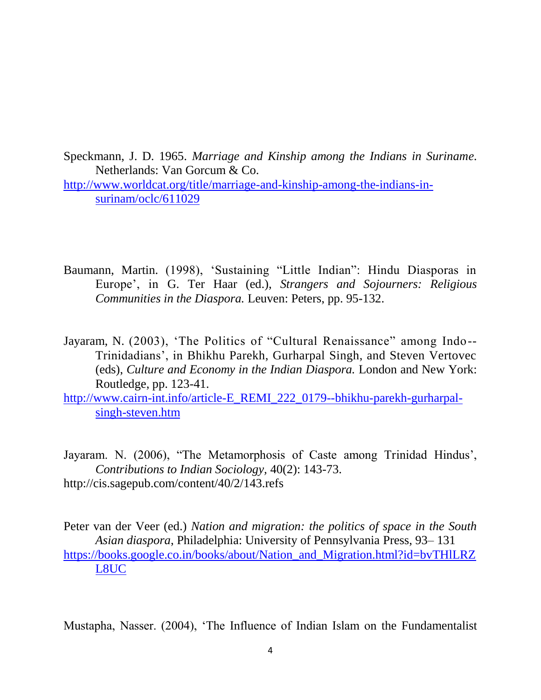Speckmann, J. D. 1965. *Marriage and Kinship among the Indians in Suriname.*  Netherlands: Van Gorcum & Co.

[http://www.worldcat.org/title/marriage-and-kinship-among-the-indians-in](http://www.worldcat.org/title/marriage-and-kinship-among-the-indians-in-surinam/oclc/611029)[surinam/oclc/611029](http://www.worldcat.org/title/marriage-and-kinship-among-the-indians-in-surinam/oclc/611029)

- Baumann, Martin. (1998), 'Sustaining "Little Indian": Hindu Diasporas in Europe', in G. Ter Haar (ed.), *Strangers and Sojourners: Religious Communities in the Diaspora.* Leuven: Peters, pp. 95-132.
- Jayaram, N. (2003), 'The Politics of "Cultural Renaissance" among Indo--Trinidadians', in Bhikhu Parekh, Gurharpal Singh, and Steven Vertovec (eds), *Culture and Economy in the Indian Diaspora.* London and New York: Routledge, pp. 123-41.

[http://www.cairn-int.info/article-E\\_REMI\\_222\\_0179--bhikhu-parekh-gurharpal](http://www.cairn-int.info/article-E_REMI_222_0179--bhikhu-parekh-gurharpal-singh-steven.htm)[singh-steven.htm](http://www.cairn-int.info/article-E_REMI_222_0179--bhikhu-parekh-gurharpal-singh-steven.htm)

Jayaram. N. (2006), "The Metamorphosis of Caste among Trinidad Hindus', *Contributions to Indian Sociology,* 40(2): 143-73. http://cis.sagepub.com/content/40/2/143.refs

Peter van der Veer (ed.) *Nation and migration: the politics of space in the South Asian diaspora*, Philadelphia: University of Pennsylvania Press, 93– 131 [https://books.google.co.in/books/about/Nation\\_and\\_Migration.html?id=bvTHlLRZ](https://books.google.co.in/books/about/Nation_and_Migration.html?id=bvTHlLRZL8UC) [L8UC](https://books.google.co.in/books/about/Nation_and_Migration.html?id=bvTHlLRZL8UC)

Mustapha, Nasser. (2004), 'The Influence of Indian Islam on the Fundamentalist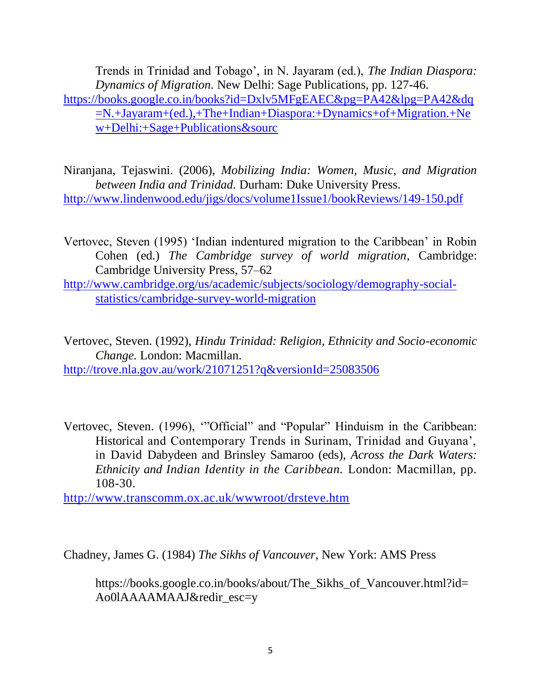Trends in Trinidad and Tobago', in N. Jayaram (ed.), *The Indian Diaspora: Dynamics of Migration.* New Delhi: Sage Publications, pp. 127-46. [https://books.google.co.in/books?id=Dxlv5MFgEAEC&pg=PA42&lpg=PA42&dq](https://books.google.co.in/books?id=Dxlv5MFgEAEC&pg=PA42&lpg=PA42&dq=N.+Jayaram+(ed.),+The+Indian+Diaspora:+Dynamics+of+Migration.+New+Delhi:+Sage+Publications&sourc) [=N.+Jayaram+\(ed.\),+The+Indian+Diaspora:+Dynamics+of+Migration.+Ne](https://books.google.co.in/books?id=Dxlv5MFgEAEC&pg=PA42&lpg=PA42&dq=N.+Jayaram+(ed.),+The+Indian+Diaspora:+Dynamics+of+Migration.+New+Delhi:+Sage+Publications&sourc)

[w+Delhi:+Sage+Publications&sourc](https://books.google.co.in/books?id=Dxlv5MFgEAEC&pg=PA42&lpg=PA42&dq=N.+Jayaram+(ed.),+The+Indian+Diaspora:+Dynamics+of+Migration.+New+Delhi:+Sage+Publications&sourc)

Niranjana, Tejaswini. (2006), *Mobilizing India: Women, Music, and Migration between India and Trinidad.* Durham: Duke University Press. <http://www.lindenwood.edu/jigs/docs/volume1Issue1/bookReviews/149-150.pdf>

- Vertovec, Steven (1995) 'Indian indentured migration to the Caribbean' in Robin Cohen (ed.) *The Cambridge survey of world migration*, Cambridge: Cambridge University Press, 57–62
- [http://www.cambridge.org/us/academic/subjects/sociology/demography-social](http://www.cambridge.org/us/academic/subjects/sociology/demography-social-statistics/cambridge-survey-world-migration)[statistics/cambridge-survey-world-migration](http://www.cambridge.org/us/academic/subjects/sociology/demography-social-statistics/cambridge-survey-world-migration)

Vertovec, Steven. (1992), *Hindu Trinidad: Religion, Ethnicity and Socio-economic Change.* London: Macmillan. <http://trove.nla.gov.au/work/21071251?q&versionId=25083506>

Vertovec, Steven. (1996), "Official" and "Popular" Hinduism in the Caribbean: Historical and Contemporary Trends in Surinam, Trinidad and Guyana', in David Dabydeen and Brinsley Samaroo (eds), *Across the Dark Waters: Ethnicity and Indian Identity in the Caribbean.* London: Macmillan, pp. 108-30.

<http://www.transcomm.ox.ac.uk/wwwroot/drsteve.htm>

Chadney, James G. (1984) *The Sikhs of Vancouver*, New York: AMS Press

https://books.google.co.in/books/about/The Sikhs of Vancouver.html?id= Ao0lAAAAMAAJ&redir\_esc=y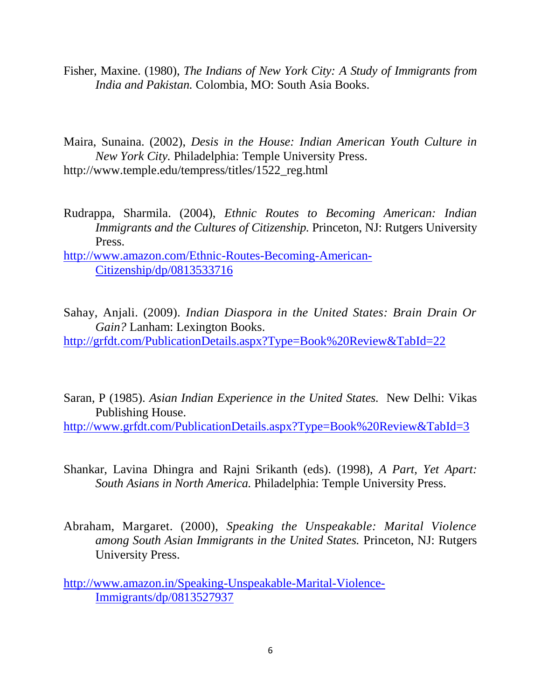- Fisher, Maxine. (1980), *The Indians of New York City: A Study of Immigrants from India and Pakistan.* Colombia, MO: South Asia Books.
- Maira, Sunaina. (2002), *Desis in the House: Indian American Youth Culture in New York City.* Philadelphia: Temple University Press. http://www.temple.edu/tempress/titles/1522\_reg.html
- Rudrappa, Sharmila. (2004), *Ethnic Routes to Becoming American: Indian Immigrants and the Cultures of Citizenship. Princeton, NJ: Rutgers University* Press.

[http://www.amazon.com/Ethnic-Routes-Becoming-American-](http://www.amazon.com/Ethnic-Routes-Becoming-American-Citizenship/dp/0813533716)[Citizenship/dp/0813533716](http://www.amazon.com/Ethnic-Routes-Becoming-American-Citizenship/dp/0813533716)

Sahay, Anjali. (2009). *Indian Diaspora in the United States: Brain Drain Or Gain?* Lanham: Lexington Books.

<http://grfdt.com/PublicationDetails.aspx?Type=Book%20Review&TabId=22>

Saran, P (1985). *Asian Indian Experience in the United States.* New Delhi: Vikas Publishing House.

<http://www.grfdt.com/PublicationDetails.aspx?Type=Book%20Review&TabId=3>

- Shankar, Lavina Dhingra and Rajni Srikanth (eds). (1998), *A Part, Yet Apart: South Asians in North America.* Philadelphia: Temple University Press.
- Abraham, Margaret. (2000), *Speaking the Unspeakable: Marital Violence among South Asian Immigrants in the United States.* Princeton, NJ: Rutgers University Press.

[http://www.amazon.in/Speaking-Unspeakable-Marital-Violence-](http://www.amazon.in/Speaking-Unspeakable-Marital-Violence-Immigrants/dp/0813527937)[Immigrants/dp/0813527937](http://www.amazon.in/Speaking-Unspeakable-Marital-Violence-Immigrants/dp/0813527937)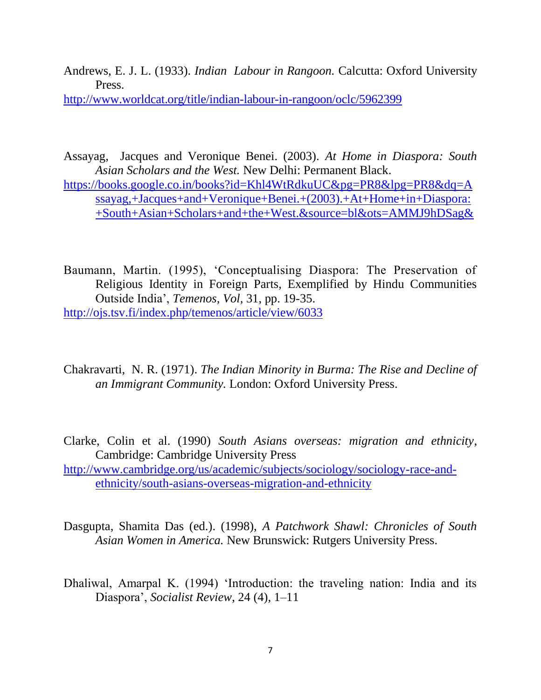Andrews, E. J. L. (1933). *Indian Labour in Rangoon.* Calcutta: Oxford University Press.

<http://www.worldcat.org/title/indian-labour-in-rangoon/oclc/5962399>

Assayag, Jacques and Veronique Benei. (2003). *At Home in Diaspora: South Asian Scholars and the West.* New Delhi: Permanent Black.

[https://books.google.co.in/books?id=Khl4WtRdkuUC&pg=PR8&lpg=PR8&dq=A](https://books.google.co.in/books?id=Khl4WtRdkuUC&pg=PR8&lpg=PR8&dq=Assayag,+Jacques+and+Veronique+Benei.+(2003).+At+Home+in+Diaspora:+South+Asian+Scholars+and+the+West.&source=bl&ots=AMMJ9hDSag&) [ssayag,+Jacques+and+Veronique+Benei.+\(2003\).+At+Home+in+Diaspora:](https://books.google.co.in/books?id=Khl4WtRdkuUC&pg=PR8&lpg=PR8&dq=Assayag,+Jacques+and+Veronique+Benei.+(2003).+At+Home+in+Diaspora:+South+Asian+Scholars+and+the+West.&source=bl&ots=AMMJ9hDSag&) [+South+Asian+Scholars+and+the+West.&source=bl&ots=AMMJ9hDSag&](https://books.google.co.in/books?id=Khl4WtRdkuUC&pg=PR8&lpg=PR8&dq=Assayag,+Jacques+and+Veronique+Benei.+(2003).+At+Home+in+Diaspora:+South+Asian+Scholars+and+the+West.&source=bl&ots=AMMJ9hDSag&)

Baumann, Martin. (1995), 'Conceptualising Diaspora: The Preservation of Religious Identity in Foreign Parts, Exemplified by Hindu Communities Outside India', *Temenos, Vol,* 31, pp. 19-35. <http://ojs.tsv.fi/index.php/temenos/article/view/6033>

Chakravarti, N. R. (1971). *The Indian Minority in Burma: The Rise and Decline of an Immigrant Community.* London: Oxford University Press.

Clarke, Colin et al. (1990) *South Asians overseas: migration and ethnicity*, Cambridge: Cambridge University Press [http://www.cambridge.org/us/academic/subjects/sociology/sociology-race-and](http://www.cambridge.org/us/academic/subjects/sociology/sociology-race-and-ethnicity/south-asians-overseas-migration-and-ethnicity)[ethnicity/south-asians-overseas-migration-and-ethnicity](http://www.cambridge.org/us/academic/subjects/sociology/sociology-race-and-ethnicity/south-asians-overseas-migration-and-ethnicity)

Dasgupta, Shamita Das (ed.). (1998), *A Patchwork Shawl: Chronicles of South Asian Women in America.* New Brunswick: Rutgers University Press.

Dhaliwal, Amarpal K. (1994) 'Introduction: the traveling nation: India and its Diaspora', *Socialist Review*, 24 (4), 1–11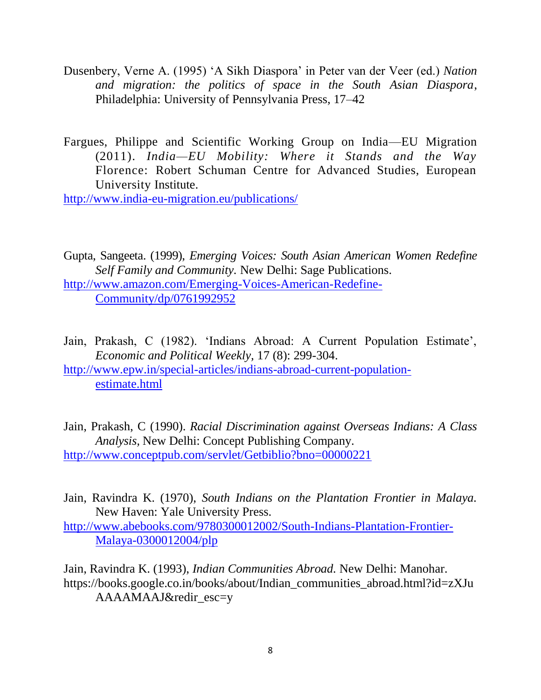- Dusenbery, Verne A. (1995) ‗A Sikh Diaspora' in Peter van der Veer (ed.) *Nation and migration: the politics of space in the South Asian Diaspora*, Philadelphia: University of Pennsylvania Press, 17–42
- Fargues, Philippe and Scientific Working Group on India—EU Migration (2011). *India—EU Mobility: Where it Stands and the Way*  Florence: Robert Schuman Centre for Advanced Studies, European University Institute.

<http://www.india-eu-migration.eu/publications/>

Gupta, Sangeeta. (1999), *Emerging Voices: South Asian American Women Redefine Self Family and Community.* New Delhi: Sage Publications. [http://www.amazon.com/Emerging-Voices-American-Redefine-](http://www.amazon.com/Emerging-Voices-American-Redefine-Community/dp/0761992952)[Community/dp/0761992952](http://www.amazon.com/Emerging-Voices-American-Redefine-Community/dp/0761992952)

- Jain, Prakash, C (1982). 'Indians Abroad: A Current Population Estimate', *Economic and Political Weekly,* 17 (8): 299-304. [http://www.epw.in/special-articles/indians-abroad-current-population](http://www.epw.in/special-articles/indians-abroad-current-population-estimate.html)[estimate.html](http://www.epw.in/special-articles/indians-abroad-current-population-estimate.html)
- Jain, Prakash, C (1990). *Racial Discrimination against Overseas Indians: A Class Analysis,* New Delhi: Concept Publishing Company. <http://www.conceptpub.com/servlet/Getbiblio?bno=00000221>
- Jain, Ravindra K. (1970), *South Indians on the Plantation Frontier in Malaya.*  New Haven: Yale University Press.

[http://www.abebooks.com/9780300012002/South-Indians-Plantation-Frontier-](http://www.abebooks.com/9780300012002/South-Indians-Plantation-Frontier-Malaya-0300012004/plp)[Malaya-0300012004/plp](http://www.abebooks.com/9780300012002/South-Indians-Plantation-Frontier-Malaya-0300012004/plp)

Jain, Ravindra K. (1993), *Indian Communities Abroad.* New Delhi: Manohar. https://books.google.co.in/books/about/Indian\_communities\_abroad.html?id=zXJu AAAAMAAJ&redir\_esc=y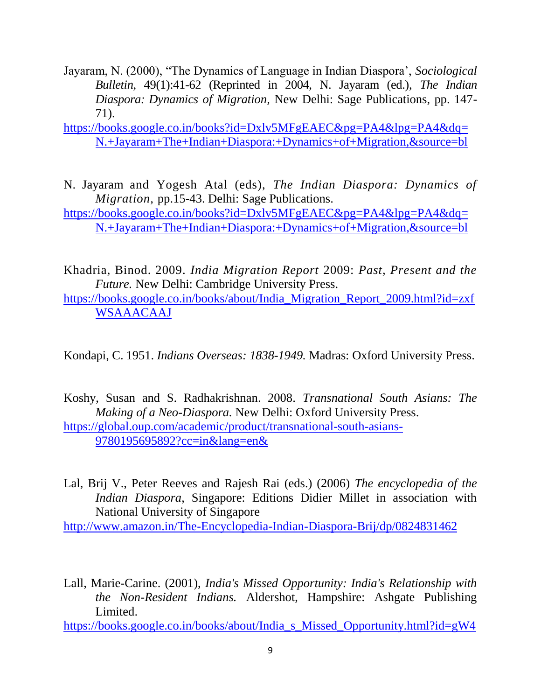- Jayaram, N. (2000), "The Dynamics of Language in Indian Diaspora', *Sociological Bulletin,* 49(1):41-62 (Reprinted in 2004, N. Jayaram (ed.), *The Indian Diaspora: Dynamics of Migration,* New Delhi: Sage Publications, pp. 147- 71).
- [https://books.google.co.in/books?id=Dxlv5MFgEAEC&pg=PA4&lpg=PA4&dq=](https://books.google.co.in/books?id=Dxlv5MFgEAEC&pg=PA4&lpg=PA4&dq=N.+Jayaram+The+Indian+Diaspora:+Dynamics+of+Migration,&source=bl) [N.+Jayaram+The+Indian+Diaspora:+Dynamics+of+Migration,&source=bl](https://books.google.co.in/books?id=Dxlv5MFgEAEC&pg=PA4&lpg=PA4&dq=N.+Jayaram+The+Indian+Diaspora:+Dynamics+of+Migration,&source=bl)
- N. Jayaram and Yogesh Atal (eds), *The Indian Diaspora: Dynamics of Migration,* pp.15-43. Delhi: Sage Publications.
- [https://books.google.co.in/books?id=Dxlv5MFgEAEC&pg=PA4&lpg=PA4&dq=](https://books.google.co.in/books?id=Dxlv5MFgEAEC&pg=PA4&lpg=PA4&dq=N.+Jayaram+The+Indian+Diaspora:+Dynamics+of+Migration,&source=bl) [N.+Jayaram+The+Indian+Diaspora:+Dynamics+of+Migration,&source=bl](https://books.google.co.in/books?id=Dxlv5MFgEAEC&pg=PA4&lpg=PA4&dq=N.+Jayaram+The+Indian+Diaspora:+Dynamics+of+Migration,&source=bl)
- Khadria, Binod. 2009. *India Migration Report* 2009: *Past, Present and the Future.* New Delhi: Cambridge University Press.
- [https://books.google.co.in/books/about/India\\_Migration\\_Report\\_2009.html?id=zxf](https://books.google.co.in/books/about/India_Migration_Report_2009.html?id=zxfWSAAACAAJ) **[WSAAACAAJ](https://books.google.co.in/books/about/India_Migration_Report_2009.html?id=zxfWSAAACAAJ)**
- Kondapi, C. 1951. *Indians Overseas: 1838-1949.* Madras: Oxford University Press.
- Koshy, Susan and S. Radhakrishnan. 2008. *Transnational South Asians: The Making of a Neo-Diaspora.* New Delhi: Oxford University Press. [https://global.oup.com/academic/product/transnational-south-asians-](https://global.oup.com/academic/product/transnational-south-asians-9780195695892?cc=in&lang=en&)[9780195695892?cc=in&lang=en&](https://global.oup.com/academic/product/transnational-south-asians-9780195695892?cc=in&lang=en&)
- Lal, Brij V., Peter Reeves and Rajesh Rai (eds.) (2006) *The encyclopedia of the Indian Diaspora*, Singapore: Editions Didier Millet in association with National University of Singapore

<http://www.amazon.in/The-Encyclopedia-Indian-Diaspora-Brij/dp/0824831462>

Lall, Marie-Carine. (2001), *India's Missed Opportunity: India's Relationship with the Non-Resident Indians.* Aldershot, Hampshire: Ashgate Publishing Limited.

[https://books.google.co.in/books/about/India\\_s\\_Missed\\_Opportunity.html?id=gW4](https://books.google.co.in/books/about/India_s_Missed_Opportunity.html?id=gW4fAAAAMAAJ&redir_esc=y)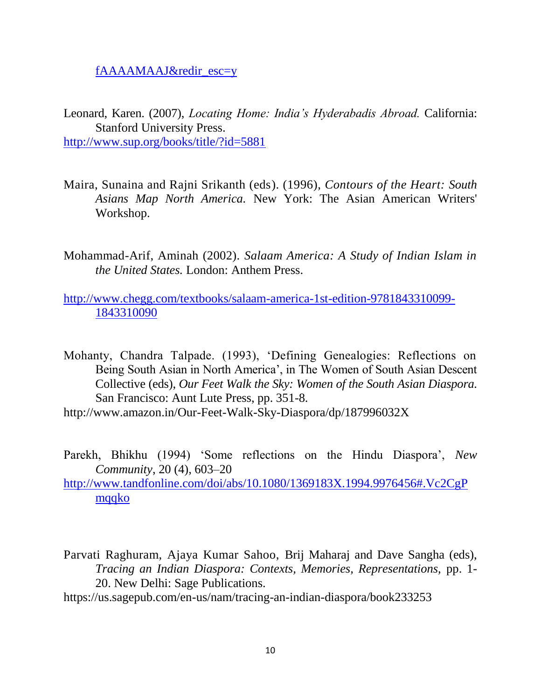[fAAAAMAAJ&redir\\_esc=y](https://books.google.co.in/books/about/India_s_Missed_Opportunity.html?id=gW4fAAAAMAAJ&redir_esc=y)

- Leonard, Karen. (2007), *Locating Home: India's Hyderabadis Abroad.* California: Stanford University Press. <http://www.sup.org/books/title/?id=5881>
- Maira, Sunaina and Rajni Srikanth (eds). (1996), *Contours of the Heart: South Asians Map North America.* New York: The Asian American Writers' Workshop.
- Mohammad-Arif, Aminah (2002). *Salaam America: A Study of Indian Islam in the United States.* London: Anthem Press.

[http://www.chegg.com/textbooks/salaam-america-1st-edition-9781843310099-](http://www.chegg.com/textbooks/salaam-america-1st-edition-9781843310099-1843310090) [1843310090](http://www.chegg.com/textbooks/salaam-america-1st-edition-9781843310099-1843310090)

Mohanty, Chandra Talpade. (1993), ‗Defining Genealogies: Reflections on Being South Asian in North America', in The Women of South Asian Descent Collective (eds), *Our Feet Walk the Sky: Women of the South Asian Diaspora.*  San Francisco: Aunt Lute Press, pp. 351-8.

http://www.amazon.in/Our-Feet-Walk-Sky-Diaspora/dp/187996032X

Parekh, Bhikhu (1994) 'Some reflections on the Hindu Diaspora', *New Community*, 20 (4), 603–20

[http://www.tandfonline.com/doi/abs/10.1080/1369183X.1994.9976456#.Vc2CgP](http://www.tandfonline.com/doi/abs/10.1080/1369183X.1994.9976456#.Vc2CgPmqqko) [mqqko](http://www.tandfonline.com/doi/abs/10.1080/1369183X.1994.9976456#.Vc2CgPmqqko)

- Parvati Raghuram, Ajaya Kumar Sahoo, Brij Maharaj and Dave Sangha (eds), *Tracing an Indian Diaspora: Contexts, Memories, Representations,* pp. 1- 20. New Delhi: Sage Publications.
- https://us.sagepub.com/en-us/nam/tracing-an-indian-diaspora/book233253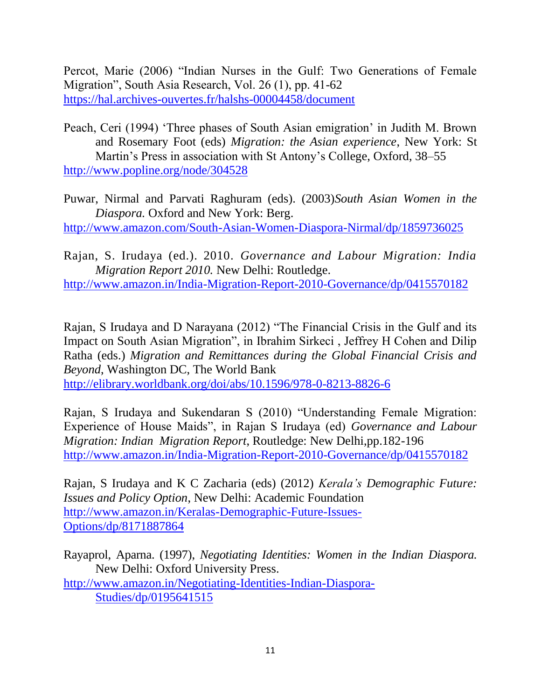Percot, Marie (2006) "Indian Nurses in the Gulf: Two Generations of Female Migration", South Asia Research, Vol. 26 (1), pp. 41-62 <https://hal.archives-ouvertes.fr/halshs-00004458/document>

Peach, Ceri (1994) 'Three phases of South Asian emigration' in Judith M. Brown and Rosemary Foot (eds) *Migration: the Asian experience*, New York: St Martin's Press in association with St Antony's College, Oxford, 38–55 <http://www.popline.org/node/304528>

Puwar, Nirmal and Parvati Raghuram (eds). (2003)*South Asian Women in the Diaspora.* Oxford and New York: Berg.

<http://www.amazon.com/South-Asian-Women-Diaspora-Nirmal/dp/1859736025>

Rajan, S. Irudaya (ed.). 2010. *Governance and Labour Migration: India Migration Report 2010.* New Delhi: Routledge.

<http://www.amazon.in/India-Migration-Report-2010-Governance/dp/0415570182>

Rajan, S Irudaya and D Narayana (2012) "The Financial Crisis in the Gulf and its Impact on South Asian Migration", in Ibrahim Sirkeci, Jeffrey H Cohen and Dilip Ratha (eds.) *Migration and Remittances during the Global Financial Crisis and Beyond*, Washington DC, The World Bank <http://elibrary.worldbank.org/doi/abs/10.1596/978-0-8213-8826-6>

Rajan, S Irudaya and Sukendaran S (2010) "Understanding Female Migration: Experience of House Maids", in Rajan S Irudaya (ed) *Governance and Labour Migration: Indian Migration Report*, Routledge: New Delhi,pp.182-196 <http://www.amazon.in/India-Migration-Report-2010-Governance/dp/0415570182>

Rajan, S Irudaya and K C Zacharia (eds) (2012) *Kerala's Demographic Future: Issues and Policy Option*, New Delhi: Academic Foundation [http://www.amazon.in/Keralas-Demographic-Future-Issues-](http://www.amazon.in/Keralas-Demographic-Future-Issues-Options/dp/8171887864)[Options/dp/8171887864](http://www.amazon.in/Keralas-Demographic-Future-Issues-Options/dp/8171887864)

Rayaprol, Aparna. (1997), *Negotiating Identities: Women in the Indian Diaspora.*  New Delhi: Oxford University Press. [http://www.amazon.in/Negotiating-Identities-Indian-Diaspora-](http://www.amazon.in/Negotiating-Identities-Indian-Diaspora-Studies/dp/0195641515)[Studies/dp/0195641515](http://www.amazon.in/Negotiating-Identities-Indian-Diaspora-Studies/dp/0195641515)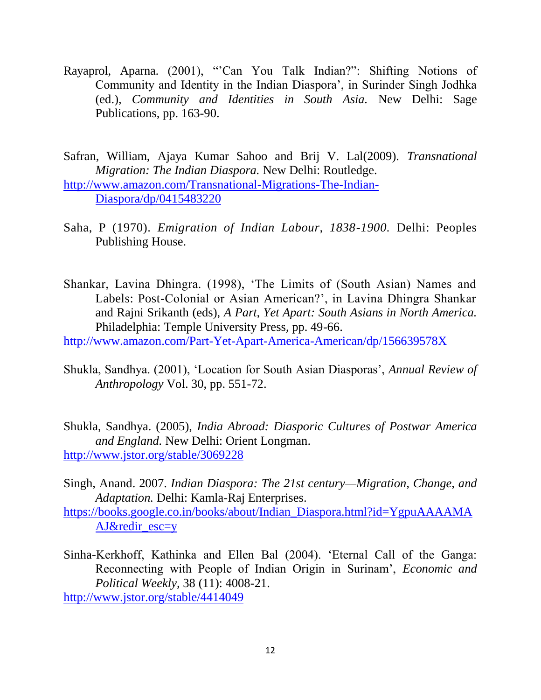Rayaprol, Aparna. (2001), "Can You Talk Indian?": Shifting Notions of Community and Identity in the Indian Diaspora', in Surinder Singh Jodhka (ed.), *Community and Identities in South Asia.* New Delhi: Sage Publications, pp. 163-90.

Safran, William, Ajaya Kumar Sahoo and Brij V. Lal(2009). *Transnational Migration: The Indian Diaspora.* New Delhi: Routledge. [http://www.amazon.com/Transnational-Migrations-The-Indian-](http://www.amazon.com/Transnational-Migrations-The-Indian-Diaspora/dp/0415483220)[Diaspora/dp/0415483220](http://www.amazon.com/Transnational-Migrations-The-Indian-Diaspora/dp/0415483220)

- Saha, P (1970). *Emigration of Indian Labour, 1838-1900.* Delhi: Peoples Publishing House.
- Shankar, Lavina Dhingra. (1998), 'The Limits of (South Asian) Names and Labels: Post-Colonial or Asian American?', in Lavina Dhingra Shankar and Rajni Srikanth (eds), *A Part, Yet Apart: South Asians in North America.*  Philadelphia: Temple University Press, pp. 49-66.

<http://www.amazon.com/Part-Yet-Apart-America-American/dp/156639578X>

Shukla, Sandhya. (2001), ‗Location for South Asian Diasporas', *Annual Review of Anthropology* Vol. 30, pp. 551-72.

Shukla, Sandhya. (2005), *India Abroad: Diasporic Cultures of Postwar America and England.* New Delhi: Orient Longman. <http://www.jstor.org/stable/3069228>

Singh, Anand. 2007. *Indian Diaspora: The 21st century—Migration, Change, and Adaptation.* Delhi: Kamla-Raj Enterprises.

[https://books.google.co.in/books/about/Indian\\_Diaspora.html?id=YgpuAAAAMA](https://books.google.co.in/books/about/Indian_Diaspora.html?id=YgpuAAAAMAAJ&redir_esc=y) [AJ&redir\\_esc=y](https://books.google.co.in/books/about/Indian_Diaspora.html?id=YgpuAAAAMAAJ&redir_esc=y)

Sinha-Kerkhoff, Kathinka and Ellen Bal (2004). 'Eternal Call of the Ganga: Reconnecting with People of Indian Origin in Surinam', *Economic and Political Weekly,* 38 (11): 4008-21. <http://www.jstor.org/stable/4414049>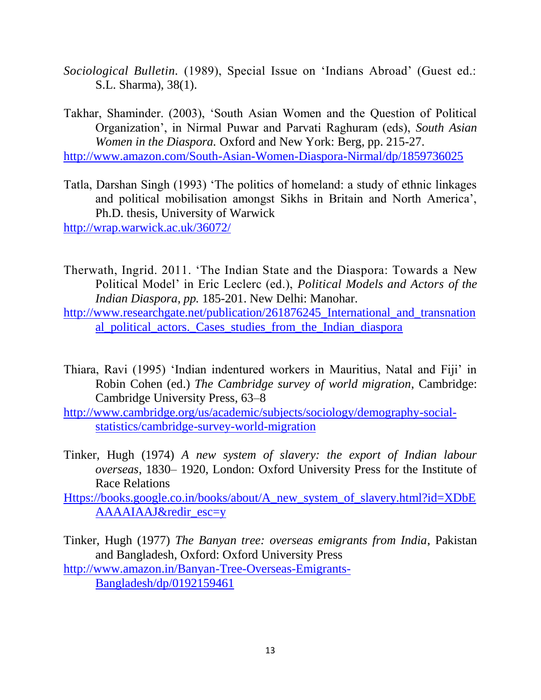*Sociological Bulletin.* (1989), Special Issue on 'Indians Abroad' (Guest ed.: S.L. Sharma), 38(1).

Takhar, Shaminder. (2003), 'South Asian Women and the Question of Political Organization', in Nirmal Puwar and Parvati Raghuram (eds), *South Asian Women in the Diaspora.* Oxford and New York: Berg, pp. 215-27. <http://www.amazon.com/South-Asian-Women-Diaspora-Nirmal/dp/1859736025>

Tatla, Darshan Singh (1993) 'The politics of homeland: a study of ethnic linkages and political mobilisation amongst Sikhs in Britain and North America', Ph.D. thesis, University of Warwick

<http://wrap.warwick.ac.uk/36072/>

Therwath, Ingrid. 2011. 'The Indian State and the Diaspora: Towards a New Political Model' in Eric Leclerc (ed.), *Political Models and Actors of the Indian Diaspora, pp.* 185-201. New Delhi: Manohar.

http://www.researchgate.net/publication/261876245 International and transnation [al\\_political\\_actors.\\_Cases\\_studies\\_from\\_the\\_Indian\\_diaspora](http://www.researchgate.net/publication/261876245_International_and_transnational_political_actors._Cases_studies_from_the_Indian_diaspora)

- Thiara, Ravi (1995) 'Indian indentured workers in Mauritius, Natal and Fiji' in Robin Cohen (ed.) *The Cambridge survey of world migration*, Cambridge: Cambridge University Press, 63–8
- [http://www.cambridge.org/us/academic/subjects/sociology/demography-social](http://www.cambridge.org/us/academic/subjects/sociology/demography-social-statistics/cambridge-survey-world-migration)[statistics/cambridge-survey-world-migration](http://www.cambridge.org/us/academic/subjects/sociology/demography-social-statistics/cambridge-survey-world-migration)
- Tinker, Hugh (1974) *A new system of slavery: the export of Indian labour overseas*, 1830– 1920, London: Oxford University Press for the Institute of Race Relations

[Https://books.google.co.in/books/about/A\\_new\\_system\\_of\\_slavery.html?id=XDbE](https://books.google.co.in/books/about/A_new_system_of_slavery.html?id=XDbEAAAAIAAJ&redir_esc=y) [AAAAIAAJ&redir\\_esc=y](https://books.google.co.in/books/about/A_new_system_of_slavery.html?id=XDbEAAAAIAAJ&redir_esc=y)

Tinker, Hugh (1977) *The Banyan tree: overseas emigrants from India*, Pakistan and Bangladesh, Oxford: Oxford University Press [http://www.amazon.in/Banyan-Tree-Overseas-Emigrants-](http://www.amazon.in/Banyan-Tree-Overseas-Emigrants-Bangladesh/dp/0192159461)[Bangladesh/dp/0192159461](http://www.amazon.in/Banyan-Tree-Overseas-Emigrants-Bangladesh/dp/0192159461)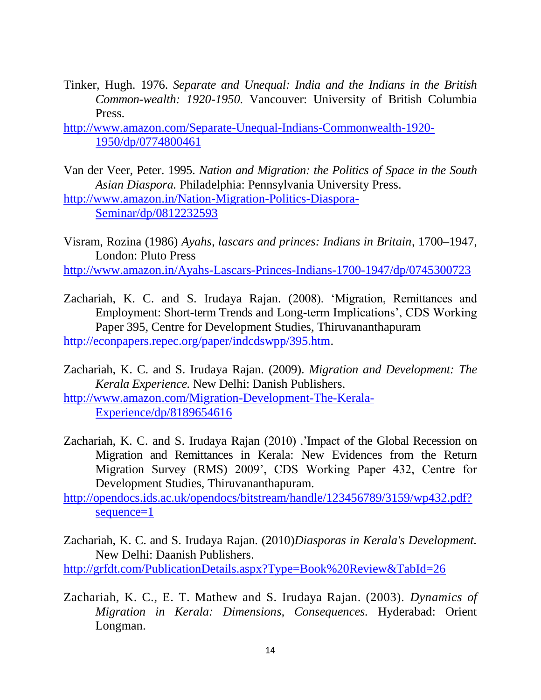Tinker, Hugh. 1976. *Separate and Unequal: India and the Indians in the British Common-wealth: 1920-1950.* Vancouver: University of British Columbia Press.

[http://www.amazon.com/Separate-Unequal-Indians-Commonwealth-1920-](http://www.amazon.com/Separate-Unequal-Indians-Commonwealth-1920-1950/dp/0774800461) [1950/dp/0774800461](http://www.amazon.com/Separate-Unequal-Indians-Commonwealth-1920-1950/dp/0774800461)

Van der Veer, Peter. 1995. *Nation and Migration: the Politics of Space in the South Asian Diaspora.* Philadelphia: Pennsylvania University Press. [http://www.amazon.in/Nation-Migration-Politics-Diaspora-](http://www.amazon.in/Nation-Migration-Politics-Diaspora-Seminar/dp/0812232593)

[Seminar/dp/0812232593](http://www.amazon.in/Nation-Migration-Politics-Diaspora-Seminar/dp/0812232593)

Visram, Rozina (1986) *Ayahs, lascars and princes: Indians in Britain*, 1700–1947, London: Pluto Press <http://www.amazon.in/Ayahs-Lascars-Princes-Indians-1700-1947/dp/0745300723>

Zachariah, K. C. and S. Irudaya Rajan. (2008). 'Migration, Remittances and Employment: Short-term Trends and Long-term Implications', CDS Working Paper 395, Centre for Development Studies, Thiruvananthapuram [http://econpapers.repec.org/paper/indcdswpp/395.htm.](http://econpapers.repec.org/paper/indcdswpp/395.htm)

Zachariah, K. C. and S. Irudaya Rajan. (2009). *Migration and Development: The Kerala Experience.* New Delhi: Danish Publishers. [http://www.amazon.com/Migration-Development-The-Kerala-](http://www.amazon.com/Migration-Development-The-Kerala-Experience/dp/8189654616)[Experience/dp/8189654616](http://www.amazon.com/Migration-Development-The-Kerala-Experience/dp/8189654616)

Zachariah, K. C. and S. Irudaya Rajan (2010) .'Impact of the Global Recession on Migration and Remittances in Kerala: New Evidences from the Return Migration Survey (RMS) 2009', CDS Working Paper 432, Centre for Development Studies, Thiruvananthapuram.

[http://opendocs.ids.ac.uk/opendocs/bitstream/handle/123456789/3159/wp432.pdf?](http://opendocs.ids.ac.uk/opendocs/bitstream/handle/123456789/3159/wp432.pdf?sequence=1) [sequence=1](http://opendocs.ids.ac.uk/opendocs/bitstream/handle/123456789/3159/wp432.pdf?sequence=1)

Zachariah, K. C. and S. Irudaya Rajan. (2010)*Diasporas in Kerala's Development.*  New Delhi: Daanish Publishers. <http://grfdt.com/PublicationDetails.aspx?Type=Book%20Review&TabId=26>

Zachariah, K. C., E. T. Mathew and S. Irudaya Rajan. (2003). *Dynamics of Migration in Kerala: Dimensions, Consequences.* Hyderabad: Orient Longman.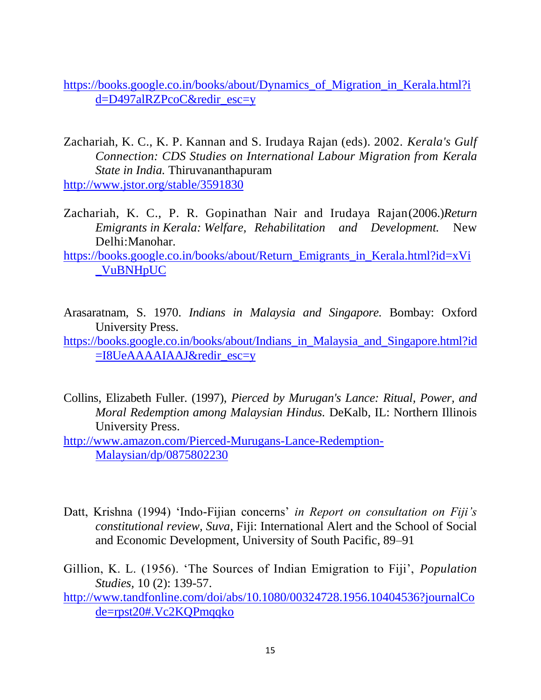[https://books.google.co.in/books/about/Dynamics\\_of\\_Migration\\_in\\_Kerala.html?i](https://books.google.co.in/books/about/Dynamics_of_Migration_in_Kerala.html?id=D497alRZPcoC&redir_esc=y) [d=D497alRZPcoC&redir\\_esc=y](https://books.google.co.in/books/about/Dynamics_of_Migration_in_Kerala.html?id=D497alRZPcoC&redir_esc=y)

Zachariah, K. C., K. P. Kannan and S. Irudaya Rajan (eds). 2002. *Kerala's Gulf Connection: CDS Studies on International Labour Migration from Kerala State in India.* Thiruvananthapuram

<http://www.jstor.org/stable/3591830>

Zachariah, K. C., P. R. Gopinathan Nair and Irudaya Rajan(2006.)*Return Emigrants in Kerala: Welfare, Rehabilitation and Development.* New Delhi:Manohar.

[https://books.google.co.in/books/about/Return\\_Emigrants\\_in\\_Kerala.html?id=xVi](https://books.google.co.in/books/about/Return_Emigrants_in_Kerala.html?id=xVi_VuBNHpUC) [\\_VuBNHpUC](https://books.google.co.in/books/about/Return_Emigrants_in_Kerala.html?id=xVi_VuBNHpUC)

- Arasaratnam, S. 1970. *Indians in Malaysia and Singapore.* Bombay: Oxford University Press.
- [https://books.google.co.in/books/about/Indians\\_in\\_Malaysia\\_and\\_Singapore.html?id](https://books.google.co.in/books/about/Indians_in_Malaysia_and_Singapore.html?id=I8UeAAAAIAAJ&redir_esc=y)  $=$ I8UeAAAAIAAJ&redir\_esc $=$ y
- Collins, Elizabeth Fuller. (1997), *Pierced by Murugan's Lance: Ritual, Power, and Moral Redemption among Malaysian Hindus.* DeKalb, IL: Northern Illinois University Press.

[http://www.amazon.com/Pierced-Murugans-Lance-Redemption-](http://www.amazon.com/Pierced-Murugans-Lance-Redemption-Malaysian/dp/0875802230)[Malaysian/dp/0875802230](http://www.amazon.com/Pierced-Murugans-Lance-Redemption-Malaysian/dp/0875802230)

- Datt, Krishna (1994) 'Indo-Fijian concerns' *in Report on consultation on Fiji's constitutional review, Suva*, Fiji: International Alert and the School of Social and Economic Development, University of South Pacific, 89–91
- Gillion, K. L. (1956). ‗The Sources of Indian Emigration to Fiji', *Population Studies,* 10 (2): 139-57.

[http://www.tandfonline.com/doi/abs/10.1080/00324728.1956.10404536?journalCo](http://www.tandfonline.com/doi/abs/10.1080/00324728.1956.10404536?journalCode=rpst20#.Vc2KQPmqqko) [de=rpst20#.Vc2KQPmqqko](http://www.tandfonline.com/doi/abs/10.1080/00324728.1956.10404536?journalCode=rpst20#.Vc2KQPmqqko)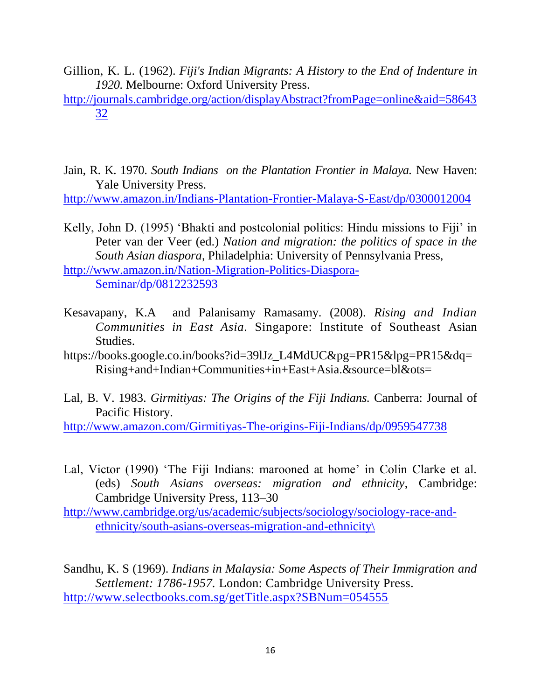- Gillion, K. L. (1962). *Fiji's Indian Migrants: A History to the End of Indenture in 1920.* Melbourne: Oxford University Press.
- [http://journals.cambridge.org/action/displayAbstract?fromPage=online&aid=58643](http://journals.cambridge.org/action/displayAbstract?fromPage=online&aid=5864332) [32](http://journals.cambridge.org/action/displayAbstract?fromPage=online&aid=5864332)
- Jain, R. K. 1970. *South Indians on the Plantation Frontier in Malaya.* New Haven: Yale University Press.

<http://www.amazon.in/Indians-Plantation-Frontier-Malaya-S-East/dp/0300012004>

Kelly, John D. (1995) 'Bhakti and postcolonial politics: Hindu missions to Fiji' in Peter van der Veer (ed.) *Nation and migration: the politics of space in the South Asian diaspora*, Philadelphia: University of Pennsylvania Press,

[http://www.amazon.in/Nation-Migration-Politics-Diaspora-](http://www.amazon.in/Nation-Migration-Politics-Diaspora-Seminar/dp/0812232593)[Seminar/dp/0812232593](http://www.amazon.in/Nation-Migration-Politics-Diaspora-Seminar/dp/0812232593)

- Kesavapany, K.A and Palanisamy Ramasamy. (2008). *Rising and Indian Communities in East Asia.* Singapore: Institute of Southeast Asian Studies.
- https://books.google.co.in/books?id=39lJz\_L4MdUC&pg=PR15&lpg=PR15&dq= Rising+and+Indian+Communities+in+East+Asia.&source=bl&ots=
- Lal, B. V. 1983. *Girmitiyas: The Origins of the Fiji Indians.* Canberra: Journal of Pacific History.

<http://www.amazon.com/Girmitiyas-The-origins-Fiji-Indians/dp/0959547738>

Lal, Victor (1990) 'The Fiji Indians: marooned at home' in Colin Clarke et al. (eds) *South Asians overseas: migration and ethnicity*, Cambridge: Cambridge University Press, 113–30

[http://www.cambridge.org/us/academic/subjects/sociology/sociology-race-and](http://www.cambridge.org/us/academic/subjects/sociology/sociology-race-and-ethnicity/south-asians-overseas-migration-and-ethnicity/)[ethnicity/south-asians-overseas-migration-and-ethnicity\](http://www.cambridge.org/us/academic/subjects/sociology/sociology-race-and-ethnicity/south-asians-overseas-migration-and-ethnicity/)

Sandhu, K. S (1969). *Indians in Malaysia: Some Aspects of Their Immigration and Settlement: 1786-1957.* London: Cambridge University Press. <http://www.selectbooks.com.sg/getTitle.aspx?SBNum=054555>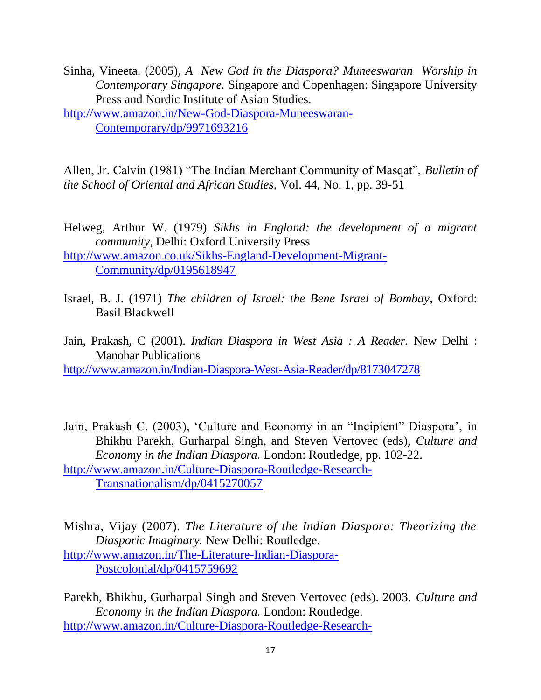Sinha, Vineeta. (2005), *A New God in the Diaspora? Muneeswaran Worship in Contemporary Singapore.* Singapore and Copenhagen: Singapore University Press and Nordic Institute of Asian Studies.

[http://www.amazon.in/New-God-Diaspora-Muneeswaran-](http://www.amazon.in/New-God-Diaspora-Muneeswaran-Contemporary/dp/9971693216)[Contemporary/dp/9971693216](http://www.amazon.in/New-God-Diaspora-Muneeswaran-Contemporary/dp/9971693216)

Allen, Jr. Calvin (1981) "The Indian Merchant Community of Masqat", *Bulletin of the School of Oriental and African Studies,* Vol. 44, No. 1, pp. 39-51

- Helweg, Arthur W. (1979) *Sikhs in England: the development of a migrant community*, Delhi: Oxford University Press [http://www.amazon.co.uk/Sikhs-England-Development-Migrant-](http://www.amazon.co.uk/Sikhs-England-Development-Migrant-Community/dp/0195618947)[Community/dp/0195618947](http://www.amazon.co.uk/Sikhs-England-Development-Migrant-Community/dp/0195618947)
- Israel, B. J. (1971) *The children of Israel: the Bene Israel of Bombay*, Oxford: Basil Blackwell
- Jain, Prakash, C (2001). *Indian Diaspora in West Asia : A Reader.* New Delhi : Manohar Publications <http://www.amazon.in/Indian-Diaspora-West-Asia-Reader/dp/8173047278>
- Jain, Prakash C. (2003), 'Culture and Economy in an "Incipient" Diaspora', in Bhikhu Parekh, Gurharpal Singh, and Steven Vertovec (eds), *Culture and Economy in the Indian Diaspora.* London: Routledge, pp. 102-22. [http://www.amazon.in/Culture-Diaspora-Routledge-Research-](http://www.amazon.in/Culture-Diaspora-Routledge-Research-Transnationalism/dp/0415270057)[Transnationalism/dp/0415270057](http://www.amazon.in/Culture-Diaspora-Routledge-Research-Transnationalism/dp/0415270057)

Mishra, Vijay (2007). *The Literature of the Indian Diaspora: Theorizing the Diasporic Imaginary.* New Delhi: Routledge. [http://www.amazon.in/The-Literature-Indian-Diaspora-](http://www.amazon.in/The-Literature-Indian-Diaspora-Postcolonial/dp/0415759692)[Postcolonial/dp/0415759692](http://www.amazon.in/The-Literature-Indian-Diaspora-Postcolonial/dp/0415759692)

Parekh, Bhikhu, Gurharpal Singh and Steven Vertovec (eds). 2003. *Culture and Economy in the Indian Diaspora.* London: Routledge. [http://www.amazon.in/Culture-Diaspora-Routledge-Research-](http://www.amazon.in/Culture-Diaspora-Routledge-Research-Transnationalism/dp/0415270057)